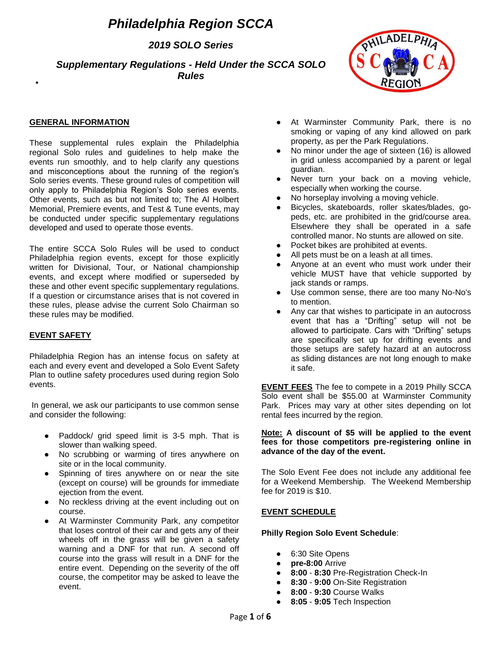# *Philadelphia Region SCCA*

*2019 SOLO Series*

*Supplementary Regulations - Held Under the SCCA SOLO Rules*



### **GENERAL INFORMATION**

These supplemental rules explain the Philadelphia regional Solo rules and guidelines to help make the events run smoothly, and to help clarify any questions and misconceptions about the running of the region's Solo series events. These ground rules of competition will only apply to Philadelphia Region's Solo series events. Other events, such as but not limited to; The Al Holbert Memorial, Premiere events, and Test & Tune events, may be conducted under specific supplementary regulations developed and used to operate those events.

The entire SCCA Solo Rules will be used to conduct Philadelphia region events, except for those explicitly written for Divisional, Tour, or National championship events, and except where modified or superseded by these and other event specific supplementary regulations. If a question or circumstance arises that is not covered in these rules, please advise the current Solo Chairman so these rules may be modified.

# **EVENT SAFETY**

Philadelphia Region has an intense focus on safety at each and every event and developed a Solo Event Safety Plan to outline safety procedures used during region Solo events.

In general, we ask our participants to use common sense and consider the following:

- Paddock/ grid speed limit is 3-5 mph. That is slower than walking speed.
- No scrubbing or warming of tires anywhere on site or in the local community.
- Spinning of tires anywhere on or near the site (except on course) will be grounds for immediate ejection from the event.
- No reckless driving at the event including out on course.
- At Warminster Community Park, any competitor that loses control of their car and gets any of their wheels off in the grass will be given a safety warning and a DNF for that run. A second off course into the grass will result in a DNF for the entire event. Depending on the severity of the off course, the competitor may be asked to leave the event.
- At Warminster Community Park, there is no smoking or vaping of any kind allowed on park property, as per the Park Regulations.
- No minor under the age of sixteen (16) is allowed in grid unless accompanied by a parent or legal guardian.
- Never turn your back on a moving vehicle, especially when working the course.
- No horseplay involving a moving vehicle.
- Bicycles, skateboards, roller skates/blades, gopeds, etc. are prohibited in the grid/course area. Elsewhere they shall be operated in a safe controlled manor. No stunts are allowed on site.
- Pocket bikes are prohibited at events.
- All pets must be on a leash at all times.
- Anyone at an event who must work under their vehicle MUST have that vehicle supported by jack stands or ramps.
- Use common sense, there are too many No-No's to mention.
- Any car that wishes to participate in an autocross event that has a "Drifting" setup will not be allowed to participate. Cars with "Drifting" setups are specifically set up for drifting events and those setups are safety hazard at an autocross as sliding distances are not long enough to make it safe.

**EVENT FEES** The fee to compete in a 2019 Philly SCCA Solo event shall be \$55.00 at Warminster Community Park. Prices may vary at other sites depending on lot rental fees incurred by the region.

#### **Note: A discount of \$5 will be applied to the event fees for those competitors pre-registering online in advance of the day of the event.**

The Solo Event Fee does not include any additional fee for a Weekend Membership. The Weekend Membership fee for 2019 is \$10.

#### **EVENT SCHEDULE**

# **Philly Region Solo Event Schedule**:

- 6:30 Site Opens
- pre-8:00 Arrive
- **8:00 8:30** Pre-Registration Check-In
- **8:30 9:00** On-Site Registration
- **8:00 9:30** Course Walks
- **8:05 9:05** Tech Inspection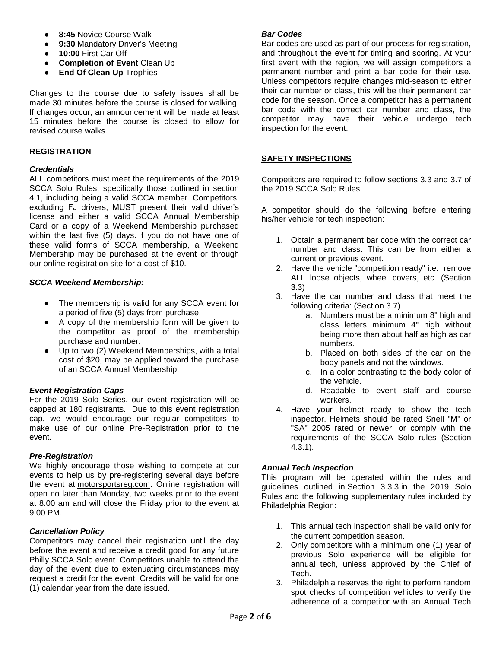- **8:45 Novice Course Walk**
- **9:30 Mandatory Driver's Meeting**
- **10:00** First Car Off
- **Completion of Event** Clean Up
- **End Of Clean Up** Trophies

Changes to the course due to safety issues shall be made 30 minutes before the course is closed for walking. If changes occur, an announcement will be made at least 15 minutes before the course is closed to allow for revised course walks.

## **REGISTRATION**

## *Credentials*

ALL competitors must meet the requirements of the 2019 SCCA Solo Rules, specifically those outlined in section 4.1, including being a valid SCCA member. Competitors, excluding FJ drivers, MUST present their valid driver's license and either a valid SCCA Annual Membership Card or a copy of a Weekend Membership purchased within the last five (5) days**.** If you do not have one of these valid forms of SCCA membership, a Weekend Membership may be purchased at the event or through our online registration site for a cost of \$10.

## *SCCA Weekend Membership:*

- The membership is valid for any SCCA event for a period of five (5) days from purchase.
- A copy of the membership form will be given to the competitor as proof of the membership purchase and number.
- Up to two  $(2)$  Weekend Memberships, with a total cost of \$20, may be applied toward the purchase of an SCCA Annual Membership.

# *Event Registration Caps*

For the 2019 Solo Series, our event registration will be capped at 180 registrants. Due to this event registration cap, we would encourage our regular competitors to make use of our online Pre-Registration prior to the event.

# *Pre-Registration*

We highly encourage those wishing to compete at our events to help us by pre-registering several days before the event at motorsportsreg.com. Online registration will open no later than Monday, two weeks prior to the event at 8:00 am and will close the Friday prior to the event at 9:00 PM.

# *Cancellation Policy*

Competitors may cancel their registration until the day before the event and receive a credit good for any future Philly SCCA Solo event. Competitors unable to attend the day of the event due to extenuating circumstances may request a credit for the event. Credits will be valid for one (1) calendar year from the date issued.

#### *Bar Codes*

Bar codes are used as part of our process for registration, and throughout the event for timing and scoring. At your first event with the region, we will assign competitors a permanent number and print a bar code for their use. Unless competitors require changes mid-season to either their car number or class, this will be their permanent bar code for the season. Once a competitor has a permanent bar code with the correct car number and class, the competitor may have their vehicle undergo tech inspection for the event.

### **SAFETY INSPECTIONS**

Competitors are required to follow sections 3.3 and 3.7 of the 2019 SCCA Solo Rules.

A competitor should do the following before entering his/her vehicle for tech inspection:

- 1. Obtain a permanent bar code with the correct car number and class. This can be from either a current or previous event.
- 2. Have the vehicle "competition ready" i.e. remove ALL loose objects, wheel covers, etc. (Section 3.3)
- 3. Have the car number and class that meet the following criteria: (Section 3.7)
	- a. Numbers must be a minimum 8" high and class letters minimum 4" high without being more than about half as high as car numbers.
	- b. Placed on both sides of the car on the body panels and not the windows.
	- c. In a color contrasting to the body color of the vehicle.
	- d. Readable to event staff and course workers.
- 4. Have your helmet ready to show the tech inspector. Helmets should be rated Snell "M" or "SA" 2005 rated or newer, or comply with the requirements of the SCCA Solo rules (Section 4.3.1).

# *Annual Tech Inspection*

This program will be operated within the rules and guidelines outlined in Section 3.3.3 in the 2019 Solo Rules and the following supplementary rules included by Philadelphia Region:

- 1. This annual tech inspection shall be valid only for the current competition season.
- 2. Only competitors with a minimum one (1) year of previous Solo experience will be eligible for annual tech, unless approved by the Chief of Tech.
- 3. Philadelphia reserves the right to perform random spot checks of competition vehicles to verify the adherence of a competitor with an Annual Tech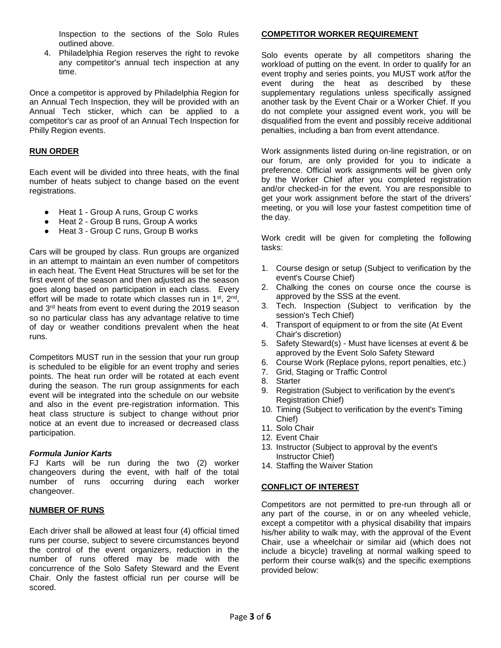Inspection to the sections of the Solo Rules outlined above.

4. Philadelphia Region reserves the right to revoke any competitor's annual tech inspection at any time.

Once a competitor is approved by Philadelphia Region for an Annual Tech Inspection, they will be provided with an Annual Tech sticker, which can be applied to a competitor's car as proof of an Annual Tech Inspection for Philly Region events.

# **RUN ORDER**

Each event will be divided into three heats, with the final number of heats subject to change based on the event registrations.

- Heat 1 Group A runs, Group C works
- Heat 2 Group B runs, Group A works
- Heat 3 Group C runs, Group B works

Cars will be grouped by class. Run groups are organized in an attempt to maintain an even number of competitors in each heat. The Event Heat Structures will be set for the first event of the season and then adjusted as the season goes along based on participation in each class. Every effort will be made to rotate which classes run in 1<sup>st</sup>, 2<sup>nd</sup>, and 3rd heats from event to event during the 2019 season so no particular class has any advantage relative to time of day or weather conditions prevalent when the heat runs.

Competitors MUST run in the session that your run group is scheduled to be eligible for an event trophy and series points. The heat run order will be rotated at each event during the season. The run group assignments for each event will be integrated into the schedule on our website and also in the event pre-registration information. This heat class structure is subject to change without prior notice at an event due to increased or decreased class participation.

#### *Formula Junior Karts*

FJ Karts will be run during the two (2) worker changeovers during the event, with half of the total number of runs occurring during each worker changeover.

#### **NUMBER OF RUNS**

Each driver shall be allowed at least four (4) official timed runs per course, subject to severe circumstances beyond the control of the event organizers, reduction in the number of runs offered may be made with the concurrence of the Solo Safety Steward and the Event Chair. Only the fastest official run per course will be scored.

# **COMPETITOR WORKER REQUIREMENT**

Solo events operate by all competitors sharing the workload of putting on the event. In order to qualify for an event trophy and series points, you MUST work at/for the event during the heat as described by these supplementary regulations unless specifically assigned another task by the Event Chair or a Worker Chief. If you do not complete your assigned event work, you will be disqualified from the event and possibly receive additional penalties, including a ban from event attendance.

Work assignments listed during on-line registration, or on our forum, are only provided for you to indicate a preference. Official work assignments will be given only by the Worker Chief after you completed registration and/or checked-in for the event. You are responsible to get your work assignment before the start of the drivers' meeting, or you will lose your fastest competition time of the day.

Work credit will be given for completing the following tasks:

- 1. Course design or setup (Subject to verification by the event's Course Chief)
- 2. Chalking the cones on course once the course is approved by the SSS at the event.
- 3. Tech. Inspection (Subject to verification by the session's Tech Chief)
- 4. Transport of equipment to or from the site (At Event Chair's discretion)
- 5. Safety Steward(s) Must have licenses at event & be approved by the Event Solo Safety Steward
- 6. Course Work (Replace pylons, report penalties, etc.)
- 7. Grid, Staging or Traffic Control
- 8. Starter
- 9. Registration (Subject to verification by the event's Registration Chief)
- 10. Timing (Subject to verification by the event's Timing Chief)
- 11. Solo Chair
- 12. Event Chair
- 13. Instructor (Subject to approval by the event's Instructor Chief)
- 14. Staffing the Waiver Station

## **CONFLICT OF INTEREST**

Competitors are not permitted to pre-run through all or any part of the course, in or on any wheeled vehicle, except a competitor with a physical disability that impairs his/her ability to walk may, with the approval of the Event Chair, use a wheelchair or similar aid (which does not include a bicycle) traveling at normal walking speed to perform their course walk(s) and the specific exemptions provided below: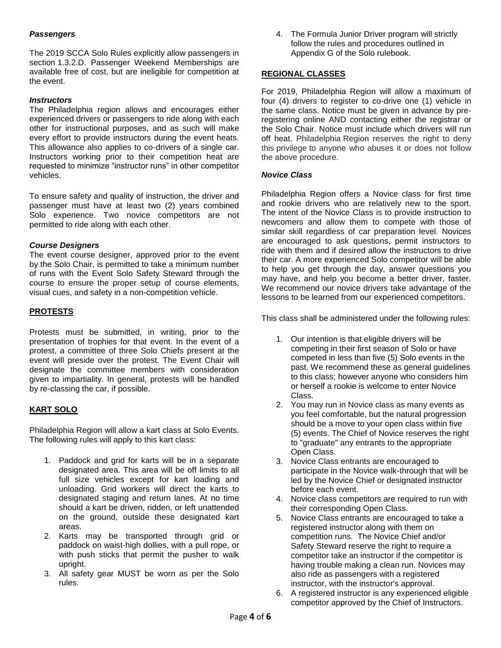# *Passengers*

The 2019 SCCA Solo Rules explicitly allow passengers in section 1.3.2.D. Passenger Weekend Memberships are available free of cost, but are ineligible for competition at the event.

# *Instructors*

The Philadelphia region allows and encourages either experienced drivers or passengers to ride along with each other for instructional purposes, and as such will make every effort to provide instructors during the event heats. This allowance also applies to co-drivers of a single car. Instructors working prior to their competition heat are requested to minimize "instructor runs" in other competitor vehicles.

To ensure safety and quality of instruction, the driver and passenger must have at least two (2) years combined Solo experience. Two novice competitors are not permitted to ride along with each other.

#### *Course Designers*

The event course designer, approved prior to the event by the Solo Chair, is permitted to take a minimum number of runs with the Event Solo Safety Steward through the course to ensure the proper setup of course elements, visual cues, and safety in a non-competition vehicle.

# **PROTESTS**

Protests must be submitted, in writing, prior to the presentation of trophies for that event. In the event of a protest, a committee of three Solo Chiefs present at the event will preside over the protest. The Event Chair will designate the committee members with consideration given to impartiality. In general, protests will be handled by re-classing the car, if possible.

# **KART SOLO**

Philadelphia Region will allow a kart class at Solo Events. The following rules will apply to this kart class:

- 1. Paddock and grid for karts will be in a separate designated area. This area will be off limits to all full size vehicles except for kart loading and unloading. Grid workers will direct the karts to designated staging and return lanes. At no time should a kart be driven, ridden, or left unattended on the ground, outside these designated kart areas.
- 2. Karts may be transported through grid or paddock on waist-high dollies, with a pull rope, or with push sticks that permit the pusher to walk upright.
- 3. All safety gear MUST be worn as per the Solo rules.

4. The Formula Junior Driver program will strictly follow the rules and procedures outlined in Appendix G of the Solo rulebook.

## **REGIONAL CLASSES**

For 2019, Philadelphia Region will allow a maximum of four (4) drivers to register to co-drive one (1) vehicle in the same class. Notice must be given in advance by preregistering online AND contacting either the registrar or the Solo Chair. Notice must include which drivers will run off heat. Philadelphia Region reserves the right to deny this privilege to anyone who abuses it or does not follow the above procedure.

#### *Novice Class*

Philadelphia Region offers a Novice class for first time and rookie drivers who are relatively new to the sport. The intent of the Novice Class is to provide instruction to newcomers and allow them to compete with those of similar skill regardless of car preparation level. Novices are encouraged to ask questions, permit instructors to ride with them and if desired allow the instructors to drive their car. A more experienced Solo competitor will be able to help you get through the day, answer questions you may have, and help you become a better driver, faster. We recommend our novice drivers take advantage of the lessons to be learned from our experienced competitors.

This class shall be administered under the following rules:

- 1. Our intention is that eligible drivers will be competing in their first season of Solo or have competed in less than five (5) Solo events in the past. We recommend these as general guidelines to this class; however anyone who considers him or herself a rookie is welcome to enter Novice Class.
- 2. You may run in Novice class as many events as you feel comfortable, but the natural progression should be a move to your open class within five (5) events. The Chief of Novice reserves the right to "graduate" any entrants to the appropriate Open Class.
- 3. Novice Class entrants are encouraged to participate in the Novice walk-through that will be led by the Novice Chief or designated instructor before each event.
- 4. Novice class competitors are required to run with their corresponding Open Class.
- 5. Novice Class entrants are encouraged to take a registered instructor along with them on competition runs. The Novice Chief and/or Safety Steward reserve the right to require a competitor take an instructor if the competitor is having trouble making a clean run. Novices may also ride as passengers with a registered instructor, with the instructor's approval.
- 6. A registered instructor is any experienced eligible competitor approved by the Chief of Instructors.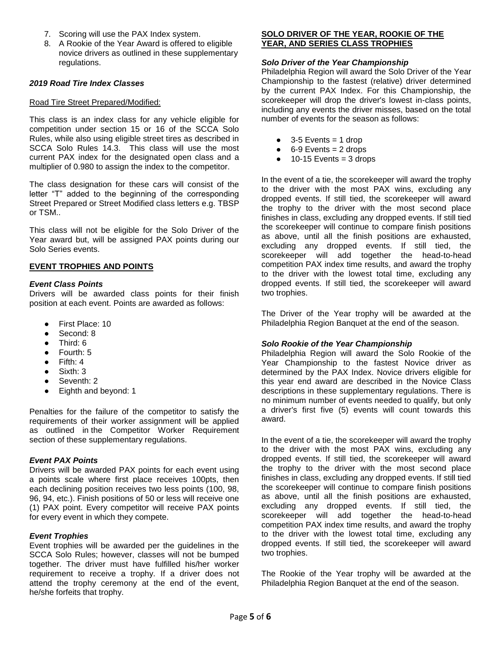- 7. Scoring will use the PAX Index system.
- 8. A Rookie of the Year Award is offered to eligible novice drivers as outlined in these supplementary regulations.

## *2019 Road Tire Index Classes*

#### Road Tire Street Prepared/Modified:

This class is an index class for any vehicle eligible for competition under section 15 or 16 of the SCCA Solo Rules, while also using eligible street tires as described in SCCA Solo Rules 14.3. This class will use the most current PAX index for the designated open class and a multiplier of 0.980 to assign the index to the competitor.

The class designation for these cars will consist of the letter "T" added to the beginning of the corresponding Street Prepared or Street Modified class letters e.g. TBSP or TSM..

This class will not be eligible for the Solo Driver of the Year award but, will be assigned PAX points during our Solo Series events.

## **EVENT TROPHIES AND POINTS**

#### *Event Class Points*

Drivers will be awarded class points for their finish position at each event. Points are awarded as follows:

- First Place: 10
- Second: 8
- Third: 6
- Fourth: 5
- Fifth: 4
- $Sixth: 3$
- Seventh: 2
- Eighth and beyond: 1

Penalties for the failure of the competitor to satisfy the requirements of their worker assignment will be applied as outlined in the Competitor Worker Requirement section of these supplementary regulations.

#### *Event PAX Points*

Drivers will be awarded PAX points for each event using a points scale where first place receives 100pts, then each declining position receives two less points (100, 98, 96, 94, etc.). Finish positions of 50 or less will receive one (1) PAX point. Every competitor will receive PAX points for every event in which they compete.

#### *Event Trophies*

Event trophies will be awarded per the guidelines in the SCCA Solo Rules; however, classes will not be bumped together. The driver must have fulfilled his/her worker requirement to receive a trophy. If a driver does not attend the trophy ceremony at the end of the event, he/she forfeits that trophy.

## **SOLO DRIVER OF THE YEAR, ROOKIE OF THE YEAR, AND SERIES CLASS TROPHIES**

#### *Solo Driver of the Year Championship*

Philadelphia Region will award the Solo Driver of the Year Championship to the fastest (relative) driver determined by the current PAX Index. For this Championship, the scorekeeper will drop the driver's lowest in-class points, including any events the driver misses, based on the total number of events for the season as follows:

- $\bullet$  3-5 Events = 1 drop
- $\bullet$  6-9 Events = 2 drops
- $\bullet$  10-15 Events = 3 drops

In the event of a tie, the scorekeeper will award the trophy to the driver with the most PAX wins, excluding any dropped events. If still tied, the scorekeeper will award the trophy to the driver with the most second place finishes in class, excluding any dropped events. If still tied the scorekeeper will continue to compare finish positions as above, until all the finish positions are exhausted, excluding any dropped events. If still tied, the scorekeeper will add together the head-to-head competition PAX index time results, and award the trophy to the driver with the lowest total time, excluding any dropped events. If still tied, the scorekeeper will award two trophies.

The Driver of the Year trophy will be awarded at the Philadelphia Region Banquet at the end of the season.

#### *Solo Rookie of the Year Championship*

Philadelphia Region will award the Solo Rookie of the Year Championship to the fastest Novice driver as determined by the PAX Index. Novice drivers eligible for this year end award are described in the Novice Class descriptions in these supplementary regulations. There is no minimum number of events needed to qualify, but only a driver's first five (5) events will count towards this award.

In the event of a tie, the scorekeeper will award the trophy to the driver with the most PAX wins, excluding any dropped events. If still tied, the scorekeeper will award the trophy to the driver with the most second place finishes in class, excluding any dropped events. If still tied the scorekeeper will continue to compare finish positions as above, until all the finish positions are exhausted, excluding any dropped events. If still tied, the scorekeeper will add together the head-to-head competition PAX index time results, and award the trophy to the driver with the lowest total time, excluding any dropped events. If still tied, the scorekeeper will award two trophies.

The Rookie of the Year trophy will be awarded at the Philadelphia Region Banquet at the end of the season.